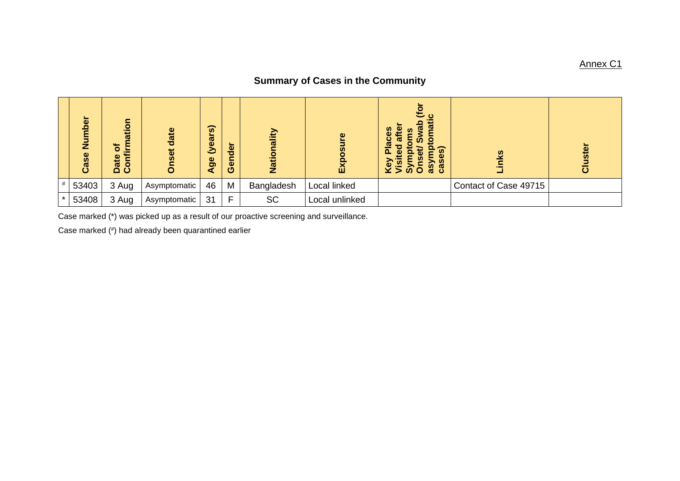## Annex C1

## **Summary of Cases in the Community**

| Number<br>Case | c<br>$\bullet$<br><b>Ti</b> s<br>đ<br>≌<br>o<br>Co | date<br>$\ddot{\circ}$<br>Ŵ | $\widehat{\boldsymbol{\omega}}$<br>(year<br>$\mathbf{g}$<br>ď | der<br>c<br>$\bullet$<br>Õ | Nationality | $\bullet$<br>$\bar{v}$<br>Exp | ە ئ<br>ω<br><b>SC</b><br>ω<br>ഇ<br>$\omega$<br>ō<br>$\overline{\mathfrak{m}}$<br>බ<br>ິດ<br>ເສັ<br>ٔ õ<br>$\bar{v}$ | ဖွ                    | uster<br>$\bar{\bar{o}}$ |
|----------------|----------------------------------------------------|-----------------------------|---------------------------------------------------------------|----------------------------|-------------|-------------------------------|---------------------------------------------------------------------------------------------------------------------|-----------------------|--------------------------|
| 53403          | 3 Aug                                              | Asymptomatic                | 46                                                            | M                          | Bangladesh  | Local linked                  |                                                                                                                     | Contact of Case 49715 |                          |
| 53408          | 3 Aug                                              | Asymptomatic                | 31                                                            | Е                          | <b>SC</b>   | Local unlinked                |                                                                                                                     |                       |                          |

Case marked (\*) was picked up as a result of our proactive screening and surveillance.

Case marked (# ) had already been quarantined earlier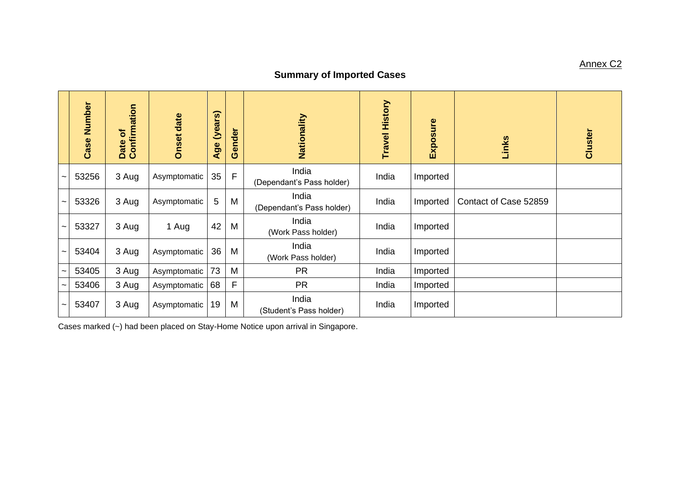## **Summary of Imported Cases**

|                       | Case Number | Confirmation<br>$\sigma$<br>Date | <b>Onset date</b> | (years)<br>Age | Gender | Nationality                        | History<br>Travel | Exposure | Links                 | Cluster |
|-----------------------|-------------|----------------------------------|-------------------|----------------|--------|------------------------------------|-------------------|----------|-----------------------|---------|
|                       | 53256       | 3 Aug                            | Asymptomatic      | 35             | F      | India<br>(Dependant's Pass holder) | India             | Imported |                       |         |
|                       | 53326       | 3 Aug                            | Asymptomatic      | 5              | M      | India<br>(Dependant's Pass holder) | India             | Imported | Contact of Case 52859 |         |
|                       | 53327       | 3 Aug                            | 1 Aug             | 42             | M      | India<br>(Work Pass holder)        | India             | Imported |                       |         |
| $\tilde{\phantom{a}}$ | 53404       | 3 Aug                            | Asymptomatic      | 36             | M      | India<br>(Work Pass holder)        | India             | Imported |                       |         |
|                       | 53405       | 3 Aug                            | Asymptomatic      | 73             | M      | <b>PR</b>                          | India             | Imported |                       |         |
| ~                     | 53406       | 3 Aug                            | Asymptomatic      | 68             | F      | <b>PR</b>                          | India             | Imported |                       |         |
|                       | 53407       | 3 Aug                            | Asymptomatic      | 19             | M      | India<br>(Student's Pass holder)   | India             | Imported |                       |         |

Cases marked (~) had been placed on Stay-Home Notice upon arrival in Singapore.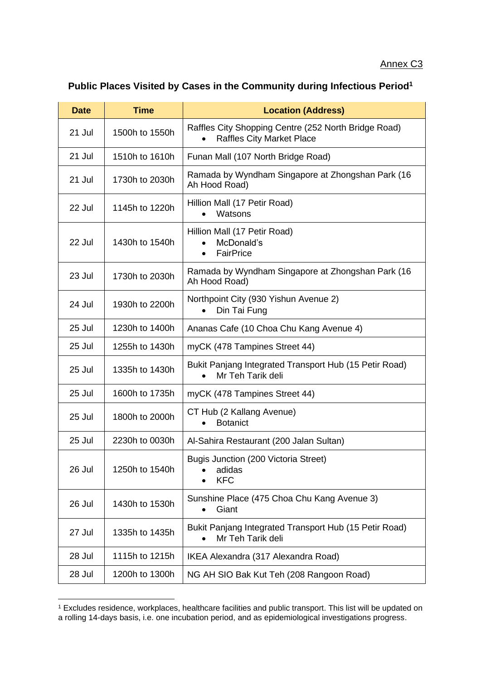## **Public Places Visited by Cases in the Community during Infectious Period<sup>1</sup>**

| <b>Date</b> | <b>Time</b>    | <b>Location (Address)</b>                                                                |  |  |  |  |
|-------------|----------------|------------------------------------------------------------------------------------------|--|--|--|--|
| 21 Jul      | 1500h to 1550h | Raffles City Shopping Centre (252 North Bridge Road)<br><b>Raffles City Market Place</b> |  |  |  |  |
| 21 Jul      | 1510h to 1610h | Funan Mall (107 North Bridge Road)                                                       |  |  |  |  |
| 21 Jul      | 1730h to 2030h | Ramada by Wyndham Singapore at Zhongshan Park (16<br>Ah Hood Road)                       |  |  |  |  |
| 22 Jul      | 1145h to 1220h | Hillion Mall (17 Petir Road)<br>Watsons                                                  |  |  |  |  |
| 22 Jul      | 1430h to 1540h | Hillion Mall (17 Petir Road)<br>McDonald's<br><b>FairPrice</b><br>$\bullet$              |  |  |  |  |
| 23 Jul      | 1730h to 2030h | Ramada by Wyndham Singapore at Zhongshan Park (16<br>Ah Hood Road)                       |  |  |  |  |
| 24 Jul      | 1930h to 2200h | Northpoint City (930 Yishun Avenue 2)<br>Din Tai Fung                                    |  |  |  |  |
| 25 Jul      | 1230h to 1400h | Ananas Cafe (10 Choa Chu Kang Avenue 4)                                                  |  |  |  |  |
| 25 Jul      | 1255h to 1430h | myCK (478 Tampines Street 44)                                                            |  |  |  |  |
| 25 Jul      | 1335h to 1430h | Bukit Panjang Integrated Transport Hub (15 Petir Road)<br>Mr Teh Tarik deli              |  |  |  |  |
| 25 Jul      | 1600h to 1735h | myCK (478 Tampines Street 44)                                                            |  |  |  |  |
| 25 Jul      | 1800h to 2000h | CT Hub (2 Kallang Avenue)<br><b>Botanict</b>                                             |  |  |  |  |
| 25 Jul      | 2230h to 0030h | Al-Sahira Restaurant (200 Jalan Sultan)                                                  |  |  |  |  |
| 26 Jul      | 1250h to 1540h | Bugis Junction (200 Victoria Street)<br>adidas<br><b>KFC</b>                             |  |  |  |  |
| 26 Jul      | 1430h to 1530h | Sunshine Place (475 Choa Chu Kang Avenue 3)<br>Giant                                     |  |  |  |  |
| 27 Jul      | 1335h to 1435h | Bukit Panjang Integrated Transport Hub (15 Petir Road)<br>Mr Teh Tarik deli              |  |  |  |  |
| 28 Jul      | 1115h to 1215h | IKEA Alexandra (317 Alexandra Road)                                                      |  |  |  |  |
| 28 Jul      | 1200h to 1300h | NG AH SIO Bak Kut Teh (208 Rangoon Road)                                                 |  |  |  |  |

<sup>1</sup> Excludes residence, workplaces, healthcare facilities and public transport. This list will be updated on a rolling 14-days basis, i.e. one incubation period, and as epidemiological investigations progress.